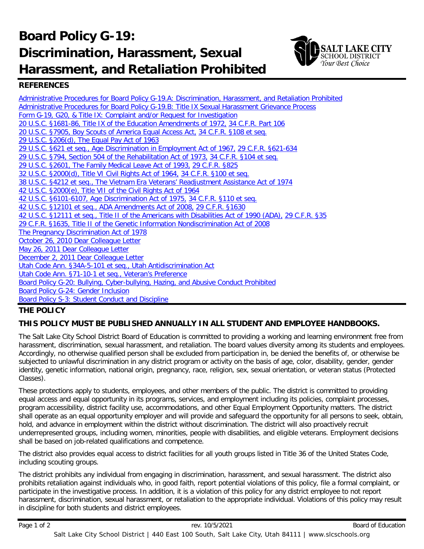# **Board Policy G-19: Discrimination, Harassment, Sexual Harassment, and Retaliation Prohibited**



## **REFERENCES**

[Administrative Procedures for Board Policy G-19.A: Discrimination, Harassment, and Retaliation Prohibited](https://websites.slcschools.org/fs/resource-manager/view/2aa1c966-8990-4852-a7ab-2564ba994941) [Administrative Procedures for Board Policy G-19.B: Title IX Sexual Harassment Grievance Process](https://websites.slcschools.org/fs/resource-manager/view/af076a2c-686f-4fcf-9ee9-bbbe2ec5e29c) Form G-19, G20, & Title IX: [Complaint and/or Request for Investigation](https://websites.slcschools.org/fs/resource-manager/view/1bf293b7-e49c-4676-9e1d-be4a2d33a6de) [20 U.S.C. §1681-86, Title IX of the Education Amendments of 1972,](https://www.law.cornell.edu/uscode/text/20/1681) [34 C.F.R. Part 106](http://www2.ed.gov/policy/rights/reg/ocr/edlite-34cfr106.html) [20 U.S.C. §7905, Boy Scouts of America Equal Access Act,](http://www.gpo.gov/fdsys/granule/USCODE-2011-title20/USCODE-2011-title20-chap70-subchapIX-partE-subpart2-sec7905/content-detail.html) [34 C.F.R. §108 et seq.](http://www.ecfr.gov/cgi-bin/text-idx?c=ecfr&rgn=div5&view=text&node=34:1.2.1.1.6&idno=34) [29 U.S.C. §206\(d\), The Equal Pay Act of 1963](http://www.eeoc.gov/laws/statutes/epa.cfm) [29 U.S.C. §621 et seq., Age Discrimination in Employment Act of 1967,](http://www.eeoc.gov/laws/statutes/adea.cfm) [29 C.F.R. §621-634](http://www.gpo.gov/fdsys/pkg/USCODE-2011-title29/html/USCODE-2011-title29-chap14.htm) [29 U.S.C. §794, Section 504 of the Rehabilitation Act of 1973,](https://www.law.cornell.edu/uscode/text/29/794) [34 C.F.R. §104 et seq.](http://www2.ed.gov/policy/rights/reg/ocr/edlite-34cfr104.html) [29 U.S.C. §2601, The Family Medical Leave Act of 1993,](http://www.dol.gov/whd/regs/statutes/fmla.htm) [29 C.F.R. §825](http://www.ecfr.gov/cgi-bin/text-idx?c=ecfr&sid=abbd92cdff37c5d32de741cc5ccc1e81&rgn=div5&view=text&node=29:3.1.1.3.54&idno=29) [32 U.S.C. §2000\(d\), Title VI Civil Rights Act of 1964,](http://www.dol.gov/oasam/regs/statutes/titlevi.htm) [34 C.F.R. §100 et seq.](http://www2.ed.gov/policy/rights/reg/ocr/edlite-34cfr100.html) [38 U.S.C. §4212 et seq., The Vietnam Era Veterans' Readjustment Assistance Act of 1974](http://www.dol.gov/ofccp/regs/statutes/4212.htm) [42 U.S.C. §2000\(e\), Title VII of the Civil Rights Act of 1964](http://www.eeoc.gov/laws/statutes/titlevii.cfm) [42 U.S.C. §6101-6107, Age Discrimination Act of 1975,](http://www.dol.gov/oasam/regs/statutes/age_act.htm) [34 C.F.R. §110 et seq.](http://www2.ed.gov/policy/rights/reg/ocr/edlite-34cfr110.html) [42 U.S.C. §12101 et seq., ADA Amendments Act of 2008,](http://www.gpo.gov/fdsys/pkg/USCODE-2009-title42/html/USCODE-2009-title42-chap126.htm) [29 C.F.R. §1630](http://www.gpo.gov/fdsys/pkg/CFR-2011-title29-vol4/xml/CFR-2011-title29-vol4-part1630.xml) [42 U.S.C. §12111 et seq., Title II of the Americans with Disabilities Act of 1990 \(ADA\),](http://www.eeoc.gov/laws/statutes/ada.cfm) [29 C.F.R. §35](http://www.ecfr.gov/cgi-bin/text-idx?rgn=div5&node=28:1.0.1.1.36) [29 C.F.R. §1635, Title II of the Genetic Information Nondiscrimination Act of 2008](http://www.ecfr.gov/cgi-bin/text-idx?c=ecfr&tpl=/ecfrbrowse/Title29/29cfr1635_main_02.tpl) [The Pregnancy Discrimination Act of 1978](http://www.eeoc.gov/laws/statutes/pregnancy.cfm) [October 26, 2010 Dear Colleague Letter](http://www2.ed.gov/about/offices/list/ocr/letters/colleague-201010.pdf) [May 26, 2011 Dear Colleague Letter](http://www2.ed.gov/about/offices/list/ocr/letters/colleague-201105-pse.pdf) [December 2, 2011 Dear Colleague Letter](http://www2.ed.gov/about/offices/list/ocr/letters/colleague-201111.pdf) [Utah Code Ann. §34A-5-101 et seq., Utah Antidiscrimination Act](http://le.utah.gov/xcode/Title34A/Chapter5/34A-5-S101.html?v=C34A-5-S101_1800010118000101) [Utah Code Ann. §71-10-1 et seq., Veteran's Preference](http://le.utah.gov/xcode/Title71/Chapter10/71-10.html?v=C71-10_1800010118000101) Board Policy G-20: [Bullying, Cyber-bullying, Hazing,](https://websites.slcschools.org/fs/resource-manager/view/a0550926-01a9-4ff5-a607-668525d61d83) and Abusive Conduct Prohibited Board Policy G-24: Gender Inclusion Board Policy S-3: [Student Conduct and Discipline](https://websites.slcschools.org/fs/resource-manager/view/1892d5e5-6166-4cc7-a389-2a1a536d2c78)

### **THE POLICY**

### **THIS POLICY MUST BE PUBLISHED ANNUALLY IN ALL STUDENT AND EMPLOYEE HANDBOOKS.**

The Salt Lake City School District Board of Education is committed to providing a working and learning environment free from harassment, discrimination, sexual harassment, and retaliation. The board values diversity among its students and employees. Accordingly, no otherwise qualified person shall be excluded from participation in, be denied the benefits of, or otherwise be subjected to unlawful discrimination in any district program or activity on the basis of age, color, disability, gender, gender identity, genetic information, national origin, pregnancy, race, religion, sex, sexual orientation, or veteran status (Protected Classes).

These protections apply to students, employees, and other members of the public. The district is committed to providing equal access and equal opportunity in its programs, services, and employment including its policies, complaint processes, program accessibility, district facility use, accommodations, and other Equal Employment Opportunity matters. The district shall operate as an equal opportunity employer and will provide and safeguard the opportunity for all persons to seek, obtain, hold, and advance in employment within the district without discrimination. The district will also proactively recruit underrepresented groups, including women, minorities, people with disabilities, and eligible veterans. Employment decisions shall be based on job-related qualifications and competence.

The district also provides equal access to district facilities for all youth groups listed in Title 36 of the United States Code, including scouting groups.

The district prohibits any individual from engaging in discrimination, harassment, and sexual harassment. The district also prohibits retaliation against individuals who, in good faith, report potential violations of this policy, file a formal complaint, or participate in the investigative process. In addition, it is a violation of this policy for any district employee to not report harassment, discrimination, sexual harassment, or retaliation to the appropriate individual. Violations of this policy may result in discipline for both students and district employees.